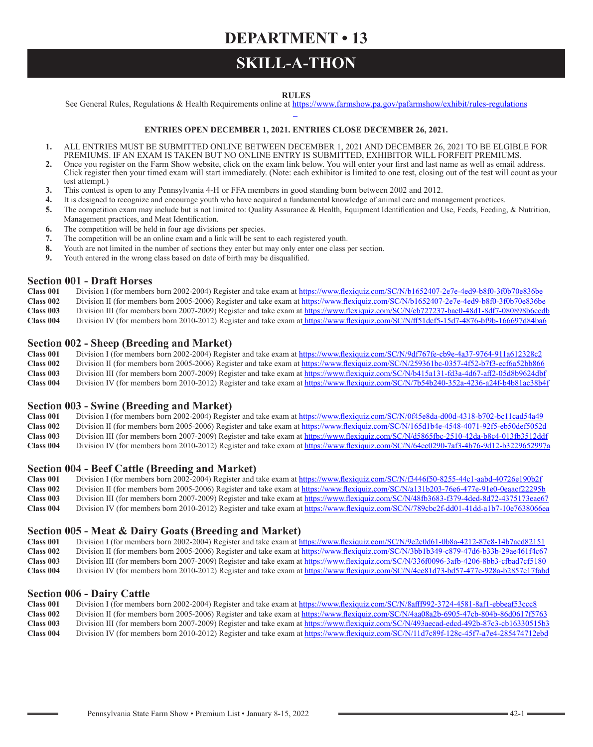## **DEPARTMENT • 13**

## **SKILL-A-THON**

### **RULES**

See General Rules, Regulations & Health Requirements online at https://www.farmshow.pa.gov/pafarmshow/exhibit/rules-regulations

### **ENTRIES OPEN DECEMBER 1, 2021. ENTRIES CLOSE DECEMBER 26, 2021.**

- **1.** ALL ENTRIES MUST BE SUBMITTED ONLINE BETWEEN DECEMBER 1, 2021 AND DECEMBER 26, 2021 TO BE ELGIBLE FOR PREMIUMS. IF AN EXAM IS TAKEN BUT NO ONLINE ENTRY IS SUBMITTED, EXHIBITOR WILL FORFEIT PREMIUMS.
- **2.** Once you register on the Farm Show website, click on the exam link below. You will enter your first and last name as well as email address. Click register then your timed exam will start immediately. (Note: each exhibitor is limited to one test, closing out of the test will count as your test attempt.)
- **3.** This contest is open to any Pennsylvania 4-H or FFA members in good standing born between 2002 and 2012.
- **4.** It is designed to recognize and encourage youth who have acquired a fundamental knowledge of animal care and management practices.
- **5.** The competition exam may include but is not limited to: Quality Assurance & Health, Equipment Identification and Use, Feeds, Feeding, & Nutrition,
- Management practices, and Meat Identification.
- **6.** The competition will be held in four age divisions per species.
- **7.** The competition will be an online exam and a link will be sent to each registered youth.
- **8.** Youth are not limited in the number of sections they enter but may only enter one class per section.
- **9.** Youth entered in the wrong class based on date of birth may be disqualified.

## **Section 001 - Draft Horses**<br>Class 001 Division I (for members

- **Class 001** Division I (for members born 2002-2004) Register and take exam at https://www.flexiquiz.com/SC/N/b1652407-2e7e-4ed9-b8f0-3f0b70e836be<br>Class 002 Division II (for members born 2005-2006) Register and take exam at
- **Class 002** Division II (for members born 2005-2006) Register and take exam at https://www.flexiquiz.com/SC/N/b1652407-2e7e-4ed9-b8f0-3f0b70e836be
- **Class 003** Division III (for members born 2007-2009) Register and take exam at https://www.flexiquiz.com/SC/N/eb727237-bae0-48d1-8df7-080898b6cedb
- **Class 004** Division IV (for members born 2010-2012) Register and take exam at https://www.flexiquiz.com/SC/N/ff51dcf5-15d7-4876-bf9b-166697d84ba6

# **Section 002 - Sheep (Breeding and Market)**<br>Class 001 Division I (for members born 2002-2004) Regist

**Class 001** Division I (for members born 2002-2004) Register and take exam at https://www.flexiquiz.com/SC/N/9df767fe-cb9e-4a37-9764-911a612328c2<br>Class 002 Division II (for members born 2005-2006) Register and take exam at

**Class 002** Division II (for members born 2005-2006) Register and take exam at https://www.flexiquiz.com/SC/N/259361bc-0357-4f52-b7f3-ecf6a52bb866

**Class 003** Division III (for members born 2007-2009) Register and take exam at https://www.flexiquiz.com/SC/N/b415a131-fd3a-4d67-aff2-05d8b9624dbf **Class 004** Division IV (for members born 2010-2012) Register and take exam at https://www.flexiquiz.com/SC/N/7b54b240-352a-4236-a24f-b4b81ac38b4f

# **Section 003 - Swine (Breeding and Market)**<br>Class 001 Division I (for members born 2002-2004) Regist

- **Class 001** Division I (for members born 2002-2004) Register and take exam at https://www.flexiquiz.com/SC/N/0f45e8da-d00d-4318-b702-bc11cad54a49<br>Class 002 Division II (for members born 2005-2006) Register and take exam at
- **Class 002** Division II (for members born 2005-2006) Register and take exam at https://www.flexiquiz.com/SC/N/165d1b4e-4548-4071-92f5-eb50def5052d **Class 003** Division III (for members born 2007-2009) Register and take exam at https://www.flexiquiz.com/SC/N/d5865fbc-2510-42da-b8c4-013fb3512ddf
- **Class 004** Division IV (for members born 2010-2012) Register and take exam at https://www.flexiquiz.com/SC/N/64ec0290-7af3-4b76-9d12-b3229652997a

- **Section 004 Beef Cattle (Breeding and Market)**<br>Class 001 Division I (for members born 2002-2004) Register and t **Class 001** Division I (for members born 2002-2004) Register and take exam at https://www.flexiquiz.com/SC/N/f3446f50-8255-44c1-aabd-40726e190b2f<br>Class 002 Division II (for members born 2005-2006) Register and take exam at
- **Class 002** Division II (for members born 2005-2006) Register and take exam at https://www.flexiquiz.com/SC/N/a131b203-76e6-477e-91e0-0eaacf22295b<br>Class 003 Division III (for members born 2007-2009) Register and take exam **Class 003** Division III (for members born 2007-2009) Register and take exam at https://www.flexiquiz.com/SC/N/48fb3683-f379-4ded-8d72-4375173eae67
- **Class 004** Division IV (for members born 2010-2012) Register and take exam at https://www.flexiquiz.com/SC/N/789cbc2f-dd01-41dd-a1b7-10e7638066ea

### **Section 005 - Meat & Dairy Goats (Breeding and Market)**<br>Class 001 Division I (for members born 2002-2004) Register and take exam at h

- **Class 001** Division I (for members born 2002-2004) Register and take exam at https://www.flexiquiz.com/SC/N/9e2c0d61-0b8a-4212-87c8-14b7acd82151<br>Class 002 Division II (for members born 2005-2006) Register and take exam at
- **Class 002** Division II (for members born 2005-2006) Register and take exam at https://www.flexiquiz.com/SC/N/3bb1b349-c879-47d6-b33b-29ae461f4c67<br>Class 003 Division III (for members born 2007-2009) Register and take exam
- **Class 003** Division III (for members born 2007-2009) Register and take exam at https://www.flexiquiz.com/SC/N/336f0096-3afb-4206-8bb3-cfbad7cf5180
- **Class 004** Division IV (for members born 2010-2012) Register and take exam at https://www.flexiquiz.com/SC/N/4ee81d73-bd57-477e-928a-b2857e17fabd

# **Section 006 - Dairy Cattle Class 001** Division I (for member

- **Class 001** Division I (for members born 2002-2004) Register and take exam at https://www.flexiquiz.com/SC/N/8afff992-3724-4581-8af1-ebbeaf53ccc8<br>Class 002 Division II (for members born 2005-2006) Register and take exam at
- **Class 002** Division II (for members born 2005-2006) Register and take exam at https://www.flexiquiz.com/SC/N/4aa08a2b-6905-47cb-804b-86d0617f5763<br>Class 003 Division III (for members born 2007-2009) Register and take exam
- **Class 003** Division III (for members born 2007-2009) Register and take exam at https://www.flexiquiz.com/SC/N/493aecad-edcd-492b-87c3-cb16330515b3
- **Class 004** Division IV (for members born 2010-2012) Register and take exam at https://www.flexiquiz.com/SC/N/11d7c89f-128c-45f7-a7e4-285474712ebd